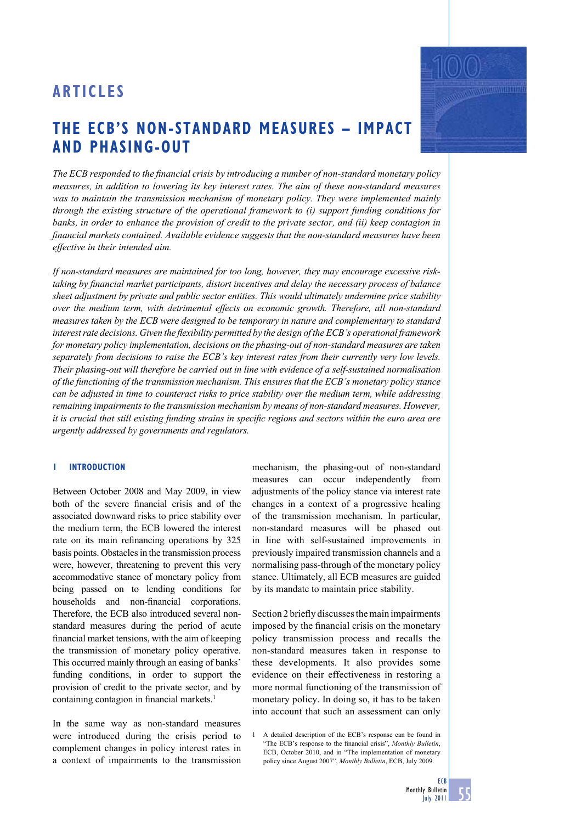# **THE ECB'S NON-STANDARD MEASURES – IMPACT AND PHASING-OUT**

The ECB responded to the financial crisis by introducing a number of non-standard monetary policy *measures, in addition to lowering its key interest rates. The aim of these non-standard measures*  was to maintain the transmission mechanism of monetary policy. They were implemented mainly *through the existing structure of the operational framework to (i) support funding conditions for banks, in order to enhance the provision of credit to the private sector, and (ii) keep contagion in fi nancial markets contained. Available evidence suggests that the non-standard measures have been effective in their intended aim.*

*If non-standard measures are maintained for too long, however, they may encourage excessive risktaking by financial market participants, distort incentives and delay the necessary process of balance sheet adjustment by private and public sector entities. This would ultimately undermine price stability over the medium term, with detrimental effects on economic growth. Therefore, all non-standard measures taken by the ECB were designed to be temporary in nature and complementary to standard*  interest rate decisions. Given the flexibility permitted by the design of the ECB's operational framework *for monetary policy implementation, decisions on the phasing-out of non-standard measures are taken separately from decisions to raise the ECB's key interest rates from their currently very low levels. Their phasing-out will therefore be carried out in line with evidence of a self-sustained normalisation of the functioning of the transmission mechanism. This ensures that the ECB's monetary policy stance can be adjusted in time to counteract risks to price stability over the medium term, while addressing remaining impairments to the transmission mechanism by means of non-standard measures. However, it is crucial that still existing funding strains in specific regions and sectors within the euro area are urgently addressed by governments and regulators.* 

# **1 INTRODUCTION**

Between October 2008 and May 2009, in view both of the severe financial crisis and of the associated downward risks to price stability over the medium term, the ECB lowered the interest rate on its main refinancing operations by 325 basis points. Obstacles in the transmission process were, however, threatening to prevent this very accommodative stance of monetary policy from being passed on to lending conditions for households and non-financial corporations. Therefore, the ECB also introduced several nonstandard measures during the period of acute financial market tensions, with the aim of keeping the transmission of monetary policy operative. This occurred mainly through an easing of banks' funding conditions, in order to support the provision of credit to the private sector, and by containing contagion in financial markets.<sup>1</sup>

In the same way as non-standard measures were introduced during the crisis period to complement changes in policy interest rates in a context of impairments to the transmission

mechanism, the phasing-out of non-standard measures can occur independently from adjustments of the policy stance via interest rate changes in a context of a progressive healing of the transmission mechanism. In particular, non-standard measures will be phased out in line with self-sustained improvements in previously impaired transmission channels and a normalising pass-through of the monetary policy stance. Ultimately, all ECB measures are guided by its mandate to maintain price stability.

Section 2 briefly discusses the main impairments imposed by the financial crisis on the monetary policy transmission process and recalls the non-standard measures taken in response to these developments. It also provides some evidence on their effectiveness in restoring a more normal functioning of the transmission of monetary policy. In doing so, it has to be taken into account that such an assessment can only

1 A detailed description of the ECB's response can be found in "The ECB's response to the financial crisis", *Monthly Bulletin*, ECB, October 2010, and in "The implementation of monetary policy since August 2007", *Monthly Bulletin*, ECB, July 2009.

**WARD TO BE THE**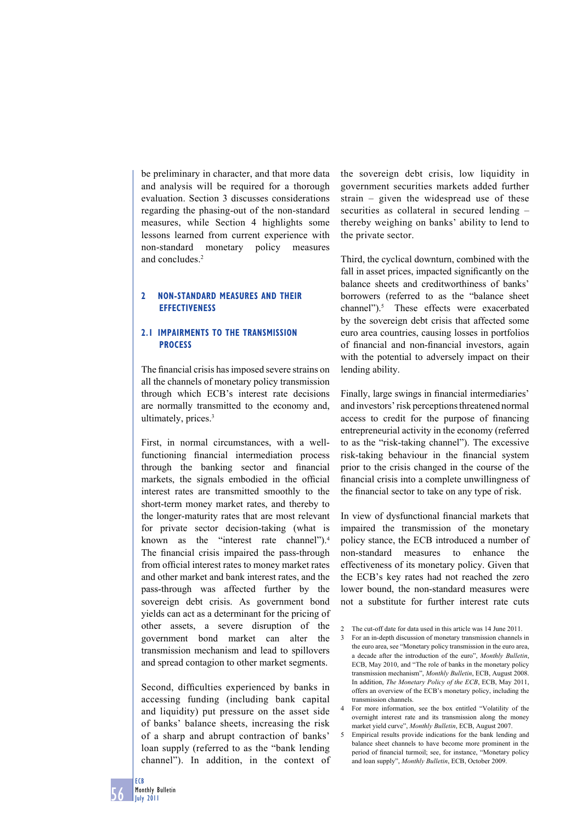be preliminary in character, and that more data and analysis will be required for a thorough evaluation. Section 3 discusses considerations regarding the phasing-out of the non-standard measures, while Section 4 highlights some lessons learned from current experience with non-standard monetary policy measures and concludes<sup>2</sup>

# **2 NON-STANDARD MEASURES AND THEIR EFFECTIVENESS**

# **2.1 IMPAIRMENTS TO THE TRANSMISSION PROCESS**

The financial crisis has imposed severe strains on all the channels of monetary policy transmission through which ECB's interest rate decisions are normally transmitted to the economy and, ultimately, prices.<sup>3</sup>

First, in normal circumstances, with a wellfunctioning financial intermediation process through the banking sector and financial markets, the signals embodied in the official interest rates are transmitted smoothly to the short-term money market rates, and thereby to the longer-maturity rates that are most relevant for private sector decision-taking (what is known as the "interest rate channel").4 The financial crisis impaired the pass-through from official interest rates to money market rates and other market and bank interest rates, and the pass-through was affected further by the sovereign debt crisis. As government bond yields can act as a determinant for the pricing of other assets, a severe disruption of the government bond market can alter the transmission mechanism and lead to spillovers and spread contagion to other market segments.

Second, difficulties experienced by banks in accessing funding (including bank capital and liquidity) put pressure on the asset side of banks' balance sheets, increasing the risk of a sharp and abrupt contraction of banks' loan supply (referred to as the "bank lending channel"). In addition, in the context of

the sovereign debt crisis, low liquidity in government securities markets added further strain – given the widespread use of these securities as collateral in secured lending – thereby weighing on banks' ability to lend to the private sector.

Third, the cyclical downturn, combined with the fall in asset prices, impacted significantly on the balance sheets and creditworthiness of banks' borrowers (referred to as the "balance sheet channel").<sup>5</sup> These effects were exacerbated by the sovereign debt crisis that affected some euro area countries, causing losses in portfolios of financial and non-financial investors, again with the potential to adversely impact on their lending ability.

Finally, large swings in financial intermediaries' and investors' risk perceptions threatened normal access to credit for the purpose of financing entrepreneurial activity in the economy (referred to as the "risk-taking channel"). The excessive risk-taking behaviour in the financial system prior to the crisis changed in the course of the financial crisis into a complete unwillingness of the financial sector to take on any type of risk.

In view of dysfunctional financial markets that impaired the transmission of the monetary policy stance, the ECB introduced a number of non-standard measures to enhance the effectiveness of its monetary policy. Given that the ECB's key rates had not reached the zero lower bound, the non-standard measures were not a substitute for further interest rate cuts

5 Empirical results provide indications for the bank lending and balance sheet channels to have become more prominent in the period of financial turmoil; see, for instance, "Monetary policy and loan supply", *Monthly Bulletin*, ECB, October 2009.

<sup>2</sup> The cut-off date for data used in this article was 14 June 2011.

<sup>3</sup> For an in-depth discussion of monetary transmission channels in the euro area, see "Monetary policy transmission in the euro area, a decade after the introduction of the euro", *Monthly Bulletin*, ECB, May 2010, and "The role of banks in the monetary policy transmission mechanism", *Monthly Bulletin*, ECB, August 2008. In addition, *The Monetary Policy of the ECB*, ECB, May 2011, offers an overview of the ECB's monetary policy, including the transmission channels.

<sup>4</sup> For more information, see the box entitled "Volatility of the overnight interest rate and its transmission along the money market yield curve", *Monthly Bulletin*, ECB, August 2007.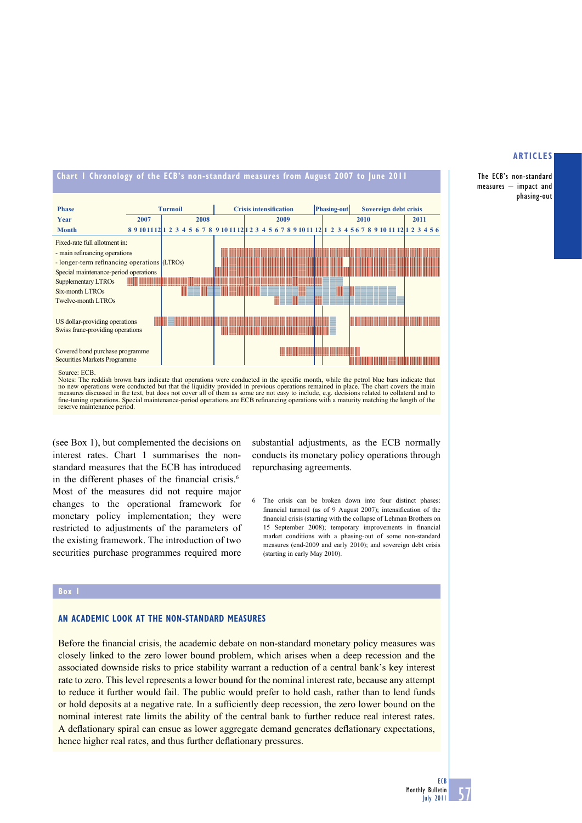#### **Chart 1 Chronology of the ECB's non-standard measures from August 2007 to June 2011 Phase Turmoil Crisis intensification Phasing-out** Sovereign debt crisis **Year 2007 2008 2009 2010 2011 Month 8 9 10 11 12 1 2 3 4 5 6 7 8 9 10 11 12 1 2 3 4 5 6 7 8 9 10 11 12 1 2 3 4 5 6 7 8 9 10 11 12 1 2 3 4 5 6** Fixed-rate full allotment in: - main refinancing operations **THEFT HE** <u> 1989 - Johann Stoff, Amerikaansk politiker (</u> <u> III din masjid karajin na masjid karajin na masjid karajin na masjid karajin na masjid karajin na masjid kara</u> <u> Tanzania (h. 1888).</u> <u> Hillin Hill</u> - longer-term refinancing operations (LTROs) <u> The Community of the Community of the Community of the Community of the Community of the Community of the Community of the Community of the Community of the Community of the Community of the Community of the Community of</u> Special maintenance-period operations Supplementary LTROs <u> Harris Barnett (</u> Six-month LTROs INEEINE E III III IIIIIIIIII EE EE EE EIIIE EEEINEI |==== <u> NEENZZ WEZZZIERZZ</u> Twelve-month LTROs US dollar-providing operations  $\equiv$  11 minutes the contract of the contract of  $\sim$ IIIIIIIIIE <u> Timbu ka</u> Swiss franc-providing operations  $\mathbf{H}$ Covered bond purchase programme Securities Markets Programme

#### Source: ECB.

Notes: The reddish brown bars indicate that operations were conducted in the specific month, while the petrol blue bars indicate that no new operations were conducted but that the liquidity provided in previous operations remained in place. The chart covers the main<br>measures discussed in the text, but does not cover all of them as some are not easy to in fine-tuning operations. Special maintenance-period operations are ECB refinancing operations with a maturity matching the length of the reserve maintenance period.

(see Box 1), but complemented the decisions on interest rates. Chart 1 summarises the nonstandard measures that the ECB has introduced in the different phases of the financial crisis. $6$ Most of the measures did not require major changes to the operational framework for monetary policy implementation; they were restricted to adjustments of the parameters of the existing framework. The introduction of two securities purchase programmes required more

substantial adjustments, as the ECB normally conducts its monetary policy operations through repurchasing agreements.

6 The crisis can be broken down into four distinct phases: financial turmoil (as of 9 August 2007); intensification of the financial crisis (starting with the collapse of Lehman Brothers on 15 September 2008); temporary improvements in financial market conditions with a phasing-out of some non-standard measures (end-2009 and early 2010); and sovereign debt crisis (starting in early May 2010).

#### **Box 1**

## **AN ACADEMIC LOOK AT THE NON-STANDARD MEASURES**

Before the financial crisis, the academic debate on non-standard monetary policy measures was closely linked to the zero lower bound problem, which arises when a deep recession and the associated downside risks to price stability warrant a reduction of a central bank's key interest rate to zero. This level represents a lower bound for the nominal interest rate, because any attempt to reduce it further would fail. The public would prefer to hold cash, rather than to lend funds or hold deposits at a negative rate. In a sufficiently deep recession, the zero lower bound on the nominal interest rate limits the ability of the central bank to further reduce real interest rates. A deflationary spiral can ensue as lower aggregate demand generates deflationary expectations, hence higher real rates, and thus further deflationary pressures.

#### **ARTICLES**

The ECB's non-standard measures – impact and phasing-out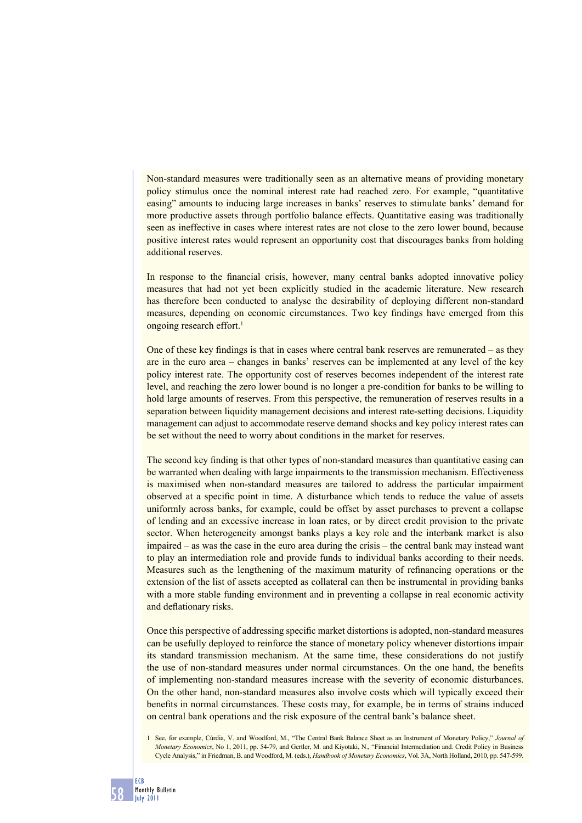Non-standard measures were traditionally seen as an alternative means of providing monetary policy stimulus once the nominal interest rate had reached zero. For example, "quantitative easing" amounts to inducing large increases in banks' reserves to stimulate banks' demand for more productive assets through portfolio balance effects. Quantitative easing was traditionally seen as ineffective in cases where interest rates are not close to the zero lower bound, because positive interest rates would represent an opportunity cost that discourages banks from holding additional reserves.

In response to the financial crisis, however, many central banks adopted innovative policy measures that had not yet been explicitly studied in the academic literature. New research has therefore been conducted to analyse the desirability of deploying different non-standard measures, depending on economic circumstances. Two key findings have emerged from this ongoing research effort.<sup>1</sup>

One of these key findings is that in cases where central bank reserves are remunerated  $-$  as they are in the euro area – changes in banks' reserves can be implemented at any level of the key policy interest rate. The opportunity cost of reserves becomes independent of the interest rate level, and reaching the zero lower bound is no longer a pre-condition for banks to be willing to hold large amounts of reserves. From this perspective, the remuneration of reserves results in a separation between liquidity management decisions and interest rate-setting decisions. Liquidity management can adjust to accommodate reserve demand shocks and key policy interest rates can be set without the need to worry about conditions in the market for reserves.

The second key finding is that other types of non-standard measures than quantitative easing can be warranted when dealing with large impairments to the transmission mechanism. Effectiveness is maximised when non-standard measures are tailored to address the particular impairment observed at a specific point in time. A disturbance which tends to reduce the value of assets uniformly across banks, for example, could be offset by asset purchases to prevent a collapse of lending and an excessive increase in loan rates, or by direct credit provision to the private sector. When heterogeneity amongst banks plays a key role and the interbank market is also impaired – as was the case in the euro area during the crisis – the central bank may instead want to play an intermediation role and provide funds to individual banks according to their needs. Measures such as the lengthening of the maximum maturity of refinancing operations or the extension of the list of assets accepted as collateral can then be instrumental in providing banks with a more stable funding environment and in preventing a collapse in real economic activity and deflationary risks.

Once this perspective of addressing specific market distortions is adopted, non-standard measures can be usefully deployed to reinforce the stance of monetary policy whenever distortions impair its standard transmission mechanism. At the same time, these considerations do not justify the use of non-standard measures under normal circumstances. On the one hand, the benefits of implementing non-standard measures increase with the severity of economic disturbances. On the other hand, non-standard measures also involve costs which will typically exceed their benefits in normal circumstances. These costs may, for example, be in terms of strains induced on central bank operations and the risk exposure of the central bank's balance sheet.

<sup>1</sup> See, for example, Cúrdia, V. and Woodford, M., "The Central Bank Balance Sheet as an Instrument of Monetary Policy," *Journal of Monetary Economics*, No 1, 2011, pp. 54-79, and Gertler, M. and Kiyotaki, N., "Financial Intermediation and. Credit Policy in Business Cycle Analysis," in Friedman, B. and Woodford, M. (eds.), *Handbook of Monetary Economics*, Vol. 3A, North Holland, 2010, pp. 547-599.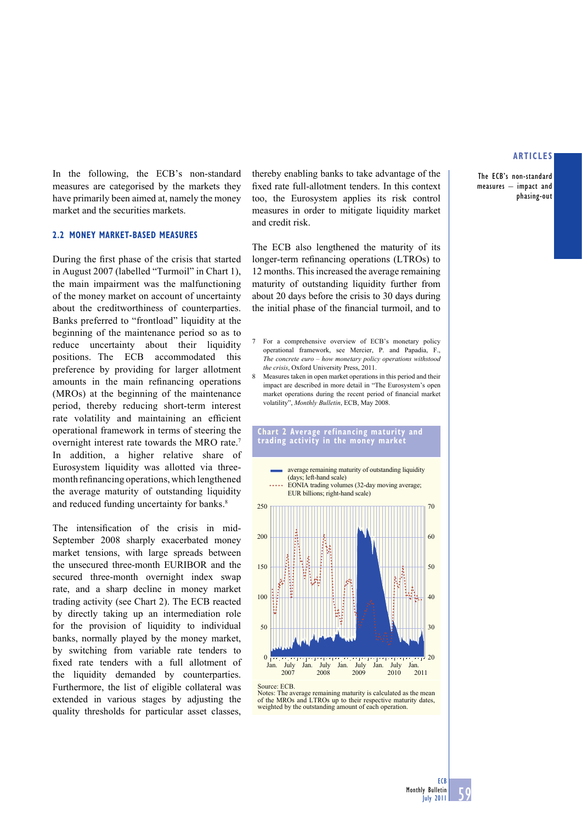The ECB's non-standard measures – impact and phasing-out

In the following, the ECB's non-standard measures are categorised by the markets they have primarily been aimed at, namely the money market and the securities markets.

#### **2.2 MONEY MARKET-BASED MEASURES**

During the first phase of the crisis that started in August 2007 (labelled "Turmoil" in Chart 1), the main impairment was the malfunctioning of the money market on account of uncertainty about the creditworthiness of counterparties. Banks preferred to "frontload" liquidity at the beginning of the maintenance period so as to reduce uncertainty about their liquidity positions. The ECB accommodated this preference by providing for larger allotment amounts in the main refinancing operations (MROs) at the beginning of the maintenance period, thereby reducing short-term interest rate volatility and maintaining an efficient operational framework in terms of steering the overnight interest rate towards the MRO rate.7 In addition, a higher relative share of Eurosystem liquidity was allotted via threemonth refinancing operations, which lengthened the average maturity of outstanding liquidity and reduced funding uncertainty for banks.<sup>8</sup>

The intensification of the crisis in mid-September 2008 sharply exacerbated money market tensions, with large spreads between the unsecured three-month EURIBOR and the secured three-month overnight index swap rate, and a sharp decline in money market trading activity (see Chart 2). The ECB reacted by directly taking up an intermediation role for the provision of liquidity to individual banks, normally played by the money market, by switching from variable rate tenders to fixed rate tenders with a full allotment of the liquidity demanded by counterparties. Furthermore, the list of eligible collateral was extended in various stages by adjusting the quality thresholds for particular asset classes,

thereby enabling banks to take advantage of the fixed rate full-allotment tenders. In this context too, the Eurosystem applies its risk control measures in order to mitigate liquidity market and credit risk.

The ECB also lengthened the maturity of its longer-term refinancing operations (LTROs) to 12 months. This increased the average remaining maturity of outstanding liquidity further from about 20 days before the crisis to 30 days during the initial phase of the financial turmoil, and to

- 7 For a comprehensive overview of ECB's monetary policy operational framework, see Mercier, P. and Papadia, F., *The concrete euro – how monetary policy operations withstood the crisis*, Oxford University Press, 2011.
- 8 Measures taken in open market operations in this period and their impact are described in more detail in "The Eurosystem's open market operations during the recent period of financial market volatility", *Monthly Bulletin*, ECB, May 2008.





Source: ECB.

Notes: The average remaining maturity is calculated as the mean of the MROs and LTROs up to their respective maturity dates, weighted by the outstanding amount of each operation.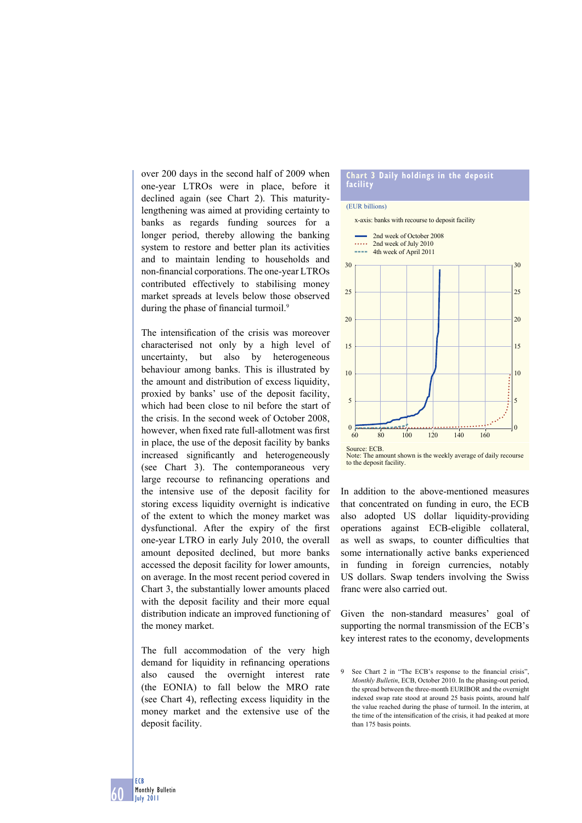over 200 days in the second half of 2009 when one-year LTROs were in place, before it declined again (see Chart 2). This maturitylengthening was aimed at providing certainty to banks as regards funding sources for a longer period, thereby allowing the banking system to restore and better plan its activities and to maintain lending to households and non-financial corporations. The one-year LTROs contributed effectively to stabilising money market spreads at levels below those observed during the phase of financial turmoil.<sup>9</sup>

The intensification of the crisis was moreover characterised not only by a high level of uncertainty, but also by heterogeneous behaviour among banks. This is illustrated by the amount and distribution of excess liquidity, proxied by banks' use of the deposit facility, which had been close to nil before the start of the crisis. In the second week of October 2008, however, when fixed rate full-allotment was first in place, the use of the deposit facility by banks increased significantly and heterogeneously (see Chart 3). The contemporaneous very large recourse to refinancing operations and the intensive use of the deposit facility for storing excess liquidity overnight is indicative of the extent to which the money market was dysfunctional. After the expiry of the first one-year LTRO in early July 2010, the overall amount deposited declined, but more banks accessed the deposit facility for lower amounts, on average. In the most recent period covered in Chart 3, the substantially lower amounts placed with the deposit facility and their more equal distribution indicate an improved functioning of the money market.

The full accommodation of the very high demand for liquidity in refinancing operations also caused the overnight interest rate (the EONIA) to fall below the MRO rate (see Chart 4), reflecting excess liquidity in the money market and the extensive use of the deposit facility.

#### **Chart 3 Daily holdings in the deposit facility**

#### (EUR billions)



Note: The amount shown is the weekly average of daily recourse to the deposit facility.

In addition to the above-mentioned measures that concentrated on funding in euro, the ECB also adopted US dollar liquidity-providing operations against ECB-eligible collateral, as well as swaps, to counter difficulties that some internationally active banks experienced in funding in foreign currencies, notably US dollars. Swap tenders involving the Swiss franc were also carried out.

Given the non-standard measures' goal of supporting the normal transmission of the ECB's key interest rates to the economy, developments

<sup>9</sup> See Chart 2 in "The ECB's response to the financial crisis", *Monthly Bulletin*, ECB, October 2010. In the phasing-out period, the spread between the three-month EURIBOR and the overnight indexed swap rate stood at around 25 basis points, around half the value reached during the phase of turmoil. In the interim, at the time of the intensification of the crisis, it had peaked at more than 175 basis points.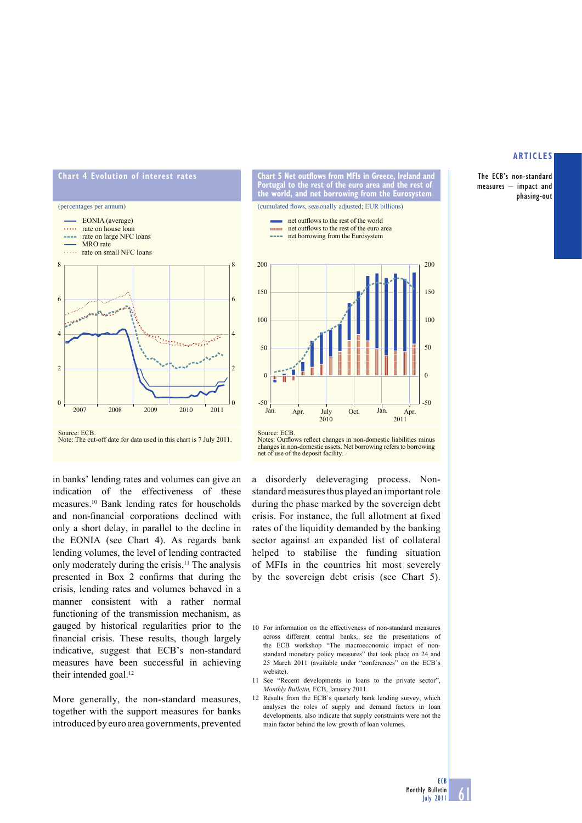The ECB's non-standard measures – impact and phasing-out





in banks' lending rates and volumes can give an indication of the effectiveness of these measures.10 Bank lending rates for households and non-financial corporations declined with only a short delay, in parallel to the decline in the EONIA (see Chart 4). As regards bank lending volumes, the level of lending contracted only moderately during the crisis.11 The analysis presented in Box 2 confirms that during the crisis, lending rates and volumes behaved in a manner consistent with a rather normal functioning of the transmission mechanism, as gauged by historical regularities prior to the financial crisis. These results, though largely indicative, suggest that ECB's non-standard measures have been successful in achieving their intended goal.<sup>12</sup>

More generally, the non-standard measures, together with the support measures for banks introduced by euro area governments, prevented



**Chart 5 Net outflows from MFIs in Greece, Ireland and** 





Source: ECB. Notes: Deutlows reflect changes in non-domestic liabilities minus changes in non-domestic assets. Net borrowing refers to borrowing net of use of the deposit facility.

a disorderly deleveraging process. Nonstandard measures thus played an important role during the phase marked by the sovereign debt crisis. For instance, the full allotment at fixed rates of the liquidity demanded by the banking sector against an expanded list of collateral helped to stabilise the funding situation of MFIs in the countries hit most severely by the sovereign debt crisis (see Chart 5).

12 Results from the ECB's quarterly bank lending survey, which analyses the roles of supply and demand factors in loan developments, also indicate that supply constraints were not the main factor behind the low growth of loan volumes.

<u>61</u>

<sup>10</sup> For information on the effectiveness of non-standard measures across different central banks, see the presentations of the ECB workshop "The macroeconomic impact of nonstandard monetary policy measures" that took place on 24 and 25 March 2011 (available under "conferences" on the ECB's website).

<sup>11</sup> See "Recent developments in loans to the private sector", *Monthly Bulletin,* ECB, January 2011.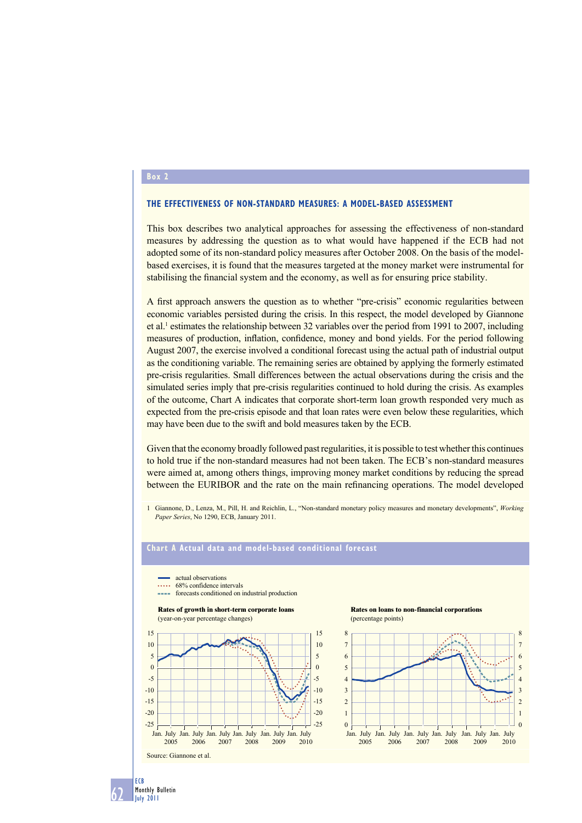## **Box 2**

62

ECB Monthly Bulletin July 2011

### **THE EFFECTIVENESS OF NON-STANDARD MEASURES: A MODEL-BASED ASSESSMENT**

This box describes two analytical approaches for assessing the effectiveness of non-standard measures by addressing the question as to what would have happened if the ECB had not adopted some of its non-standard policy measures after October 2008. On the basis of the modelbased exercises, it is found that the measures targeted at the money market were instrumental for stabilising the financial system and the economy, as well as for ensuring price stability.

A first approach answers the question as to whether "pre-crisis" economic regularities between economic variables persisted during the crisis. In this respect, the model developed by Giannone et al.<sup>1</sup> estimates the relationship between 32 variables over the period from 1991 to 2007, including measures of production, inflation, confidence, money and bond yields. For the period following August 2007, the exercise involved a conditional forecast using the actual path of industrial output as the conditioning variable. The remaining series are obtained by applying the formerly estimated pre-crisis regularities. Small differences between the actual observations during the crisis and the simulated series imply that pre-crisis regularities continued to hold during the crisis. As examples of the outcome, Chart A indicates that corporate short-term loan growth responded very much as expected from the pre-crisis episode and that loan rates were even below these regularities, which may have been due to the swift and bold measures taken by the ECB.

Given that the economy broadly followed past regularities, it is possible to test whether this continues to hold true if the non-standard measures had not been taken. The ECB's non-standard measures were aimed at, among others things, improving money market conditions by reducing the spread between the EURIBOR and the rate on the main refinancing operations. The model developed

1 Giannone, D., Lenza, M., Pill, H. and Reichlin, L., "Non-standard monetary policy measures and monetary developments", *Working Paper Series*, No 1290, ECB, January 2011.

# **Chart A Actual data and model-based conditional forecast**





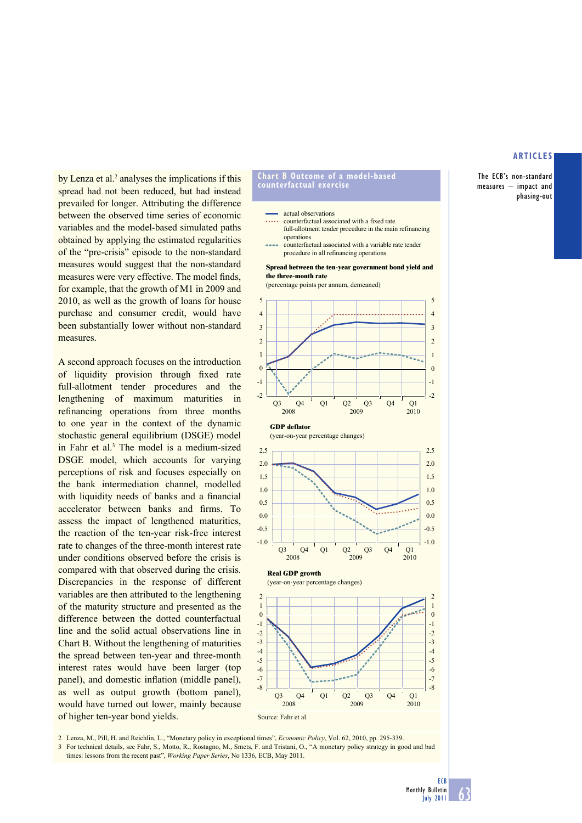The ECB's non-standard measures – impact and phasing-out

by Lenza et al.<sup>2</sup> analyses the implications if this spread had not been reduced, but had instead prevailed for longer. Attributing the difference between the observed time series of economic variables and the model-based simulated paths obtained by applying the estimated regularities of the "pre-crisis" episode to the non-standard measures would suggest that the non-standard measures were very effective. The model finds, for example, that the growth of M1 in 2009 and 2010, as well as the growth of loans for house purchase and consumer credit, would have been substantially lower without non-standard measures.

A second approach focuses on the introduction of liquidity provision through fixed rate full-allotment tender procedures and the lengthening of maximum maturities in refinancing operations from three months to one year in the context of the dynamic stochastic general equilibrium (DSGE) model in Fahr et al.<sup>3</sup> The model is a medium-sized DSGE model, which accounts for varying perceptions of risk and focuses especially on the bank intermediation channel, modelled with liquidity needs of banks and a financial accelerator between banks and firms. To assess the impact of lengthened maturities, the reaction of the ten-year risk-free interest rate to changes of the three-month interest rate under conditions observed before the crisis is compared with that observed during the crisis. Discrepancies in the response of different variables are then attributed to the lengthening of the maturity structure and presented as the difference between the dotted counterfactual line and the solid actual observations line in Chart B. Without the lengthening of maturities the spread between ten-year and three-month interest rates would have been larger (top panel), and domestic inflation (middle panel), as well as output growth (bottom panel), would have turned out lower, mainly because of higher ten-year bond yields.

#### **Chart B Outcome of a model-based counterfactual exercise**

#### actual observations

counterfactual associated with a fixed rate full-allotment tender procedure in the main refinancing operations

counterfactual associated with a variable rate tender procedure in all refinancing operations

#### **Spread between the ten-year government bond yield and the three-month rate**

(percentage points per annum, demeaned)



-8 -8

2008 2009 Q3 Q4 Q1 Q2 Q3 Q4

2 Lenza, M., Pill, H. and Reichlin, L., "Monetary policy in exceptional times", *Economic Policy*, Vol. 62, 2010, pp. 295-339. Source: Fahr et al.

-6 -7

-5

3 For technical details, see Fahr, S., Motto, R., Rostagno, M., Smets, F. and Tristani, O., "A monetary policy strategy in good and bad times: lessons from the recent past", *Working Paper Series*, No 1336, ECB, May 2011.

-6 -7

2010  $O<sub>1</sub>$ 

-5

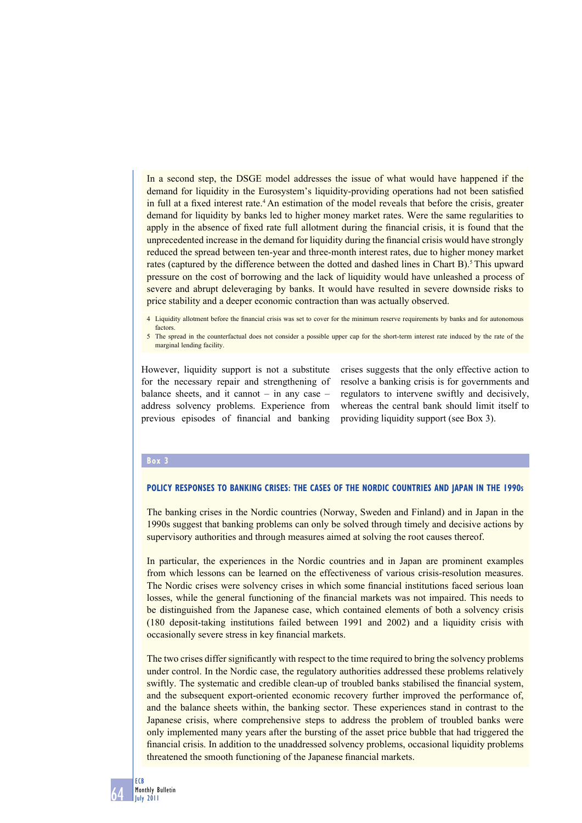In a second step, the DSGE model addresses the issue of what would have happened if the demand for liquidity in the Eurosystem's liquidity-providing operations had not been satisfied in full at a fixed interest rate.<sup>4</sup> An estimation of the model reveals that before the crisis, greater demand for liquidity by banks led to higher money market rates. Were the same regularities to apply in the absence of fixed rate full allotment during the financial crisis, it is found that the unprecedented increase in the demand for liquidity during the financial crisis would have strongly reduced the spread between ten-year and three-month interest rates, due to higher money market rates (captured by the difference between the dotted and dashed lines in Chart B).<sup>5</sup> This upward pressure on the cost of borrowing and the lack of liquidity would have unleashed a process of severe and abrupt deleveraging by banks. It would have resulted in severe downside risks to price stability and a deeper economic contraction than was actually observed.

4 Liquidity allotment before the financial crisis was set to cover for the minimum reserve requirements by banks and for autonomous factors.

5 The spread in the counterfactual does not consider a possible upper cap for the short-term interest rate induced by the rate of the marginal lending facility.

However, liquidity support is not a substitute for the necessary repair and strengthening of balance sheets, and it cannot – in any case – address solvency problems. Experience from previous episodes of financial and banking crises suggests that the only effective action to resolve a banking crisis is for governments and regulators to intervene swiftly and decisively, whereas the central bank should limit itself to providing liquidity support (see Box 3).

#### **Box 3**

#### **POLICY RESPONSES TO BANKING CRISES: THE CASES OF THE NORDIC COUNTRIES AND JAPAN IN THE 1990S**

The banking crises in the Nordic countries (Norway, Sweden and Finland) and in Japan in the 1990s suggest that banking problems can only be solved through timely and decisive actions by supervisory authorities and through measures aimed at solving the root causes thereof.

In particular, the experiences in the Nordic countries and in Japan are prominent examples from which lessons can be learned on the effectiveness of various crisis-resolution measures. The Nordic crises were solvency crises in which some financial institutions faced serious loan losses, while the general functioning of the financial markets was not impaired. This needs to be distinguished from the Japanese case, which contained elements of both a solvency crisis (180 deposit-taking institutions failed between 1991 and 2002) and a liquidity crisis with occasionally severe stress in key financial markets.

The two crises differ significantly with respect to the time required to bring the solvency problems under control. In the Nordic case, the regulatory authorities addressed these problems relatively swiftly. The systematic and credible clean-up of troubled banks stabilised the financial system, and the subsequent export-oriented economic recovery further improved the performance of, and the balance sheets within, the banking sector. These experiences stand in contrast to the Japanese crisis, where comprehensive steps to address the problem of troubled banks were only implemented many years after the bursting of the asset price bubble that had triggered the financial crisis. In addition to the unaddressed solvency problems, occasional liquidity problems threatened the smooth functioning of the Japanese financial markets.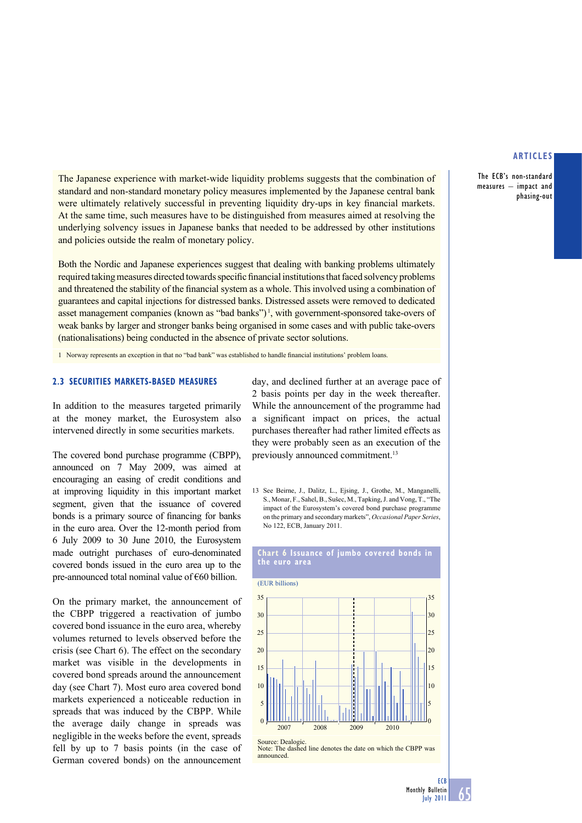The ECB's non-standard measures – impact and phasing-out

The Japanese experience with market-wide liquidity problems suggests that the combination of standard and non-standard monetary policy measures implemented by the Japanese central bank were ultimately relatively successful in preventing liquidity dry-ups in key financial markets. At the same time, such measures have to be distinguished from measures aimed at resolving the underlying solvency issues in Japanese banks that needed to be addressed by other institutions and policies outside the realm of monetary policy.

Both the Nordic and Japanese experiences suggest that dealing with banking problems ultimately required taking measures directed towards specific financial institutions that faced solvency problems and threatened the stability of the financial system as a whole. This involved using a combination of guarantees and capital injections for distressed banks. Distressed assets were removed to dedicated asset management companies (known as "bad banks")<sup>1</sup>, with government-sponsored take-overs of weak banks by larger and stronger banks being organised in some cases and with public take-overs (nationalisations) being conducted in the absence of private sector solutions.

1 Norway represents an exception in that no "bad bank" was established to handle financial institutions' problem loans.

# **2.3 SECURITIES MARKETS-BASED MEASURES**

In addition to the measures targeted primarily at the money market, the Eurosystem also intervened directly in some securities markets.

The covered bond purchase programme (CBPP), announced on 7 May 2009, was aimed at encouraging an easing of credit conditions and at improving liquidity in this important market segment, given that the issuance of covered bonds is a primary source of financing for banks in the euro area. Over the 12-month period from 6 July 2009 to 30 June 2010, the Eurosystem made outright purchases of euro-denominated covered bonds issued in the euro area up to the pre-announced total nominal value of €60 billion.

On the primary market, the announcement of the CBPP triggered a reactivation of jumbo covered bond issuance in the euro area, whereby volumes returned to levels observed before the crisis (see Chart 6). The effect on the secondary market was visible in the developments in covered bond spreads around the announcement day (see Chart 7). Most euro area covered bond markets experienced a noticeable reduction in spreads that was induced by the CBPP. While the average daily change in spreads was negligible in the weeks before the event, spreads fell by up to 7 basis points (in the case of German covered bonds) on the announcement

day, and declined further at an average pace of 2 basis points per day in the week thereafter. While the announcement of the programme had a significant impact on prices, the actual purchases thereafter had rather limited effects as they were probably seen as an execution of the previously announced commitment.<sup>13</sup>

13 See Beirne, J., Dalitz, L., Ejsing, J., Grothe, M., Manganelli, S., Monar, F., Sahel, B., Sušec, M., Tapking, J. and Vong, T., "The impact of the Eurosystem's covered bond purchase programme on the primary and secondary markets", *Occasional Paper Series*, No 122, ECB, January 2011.

## **Chart 6 Issuance of jumbo covered bonds in the euro area**

(EUR billions)



Source: Dealogic

Note: The dashed line denotes the date on which the CBPP was announced.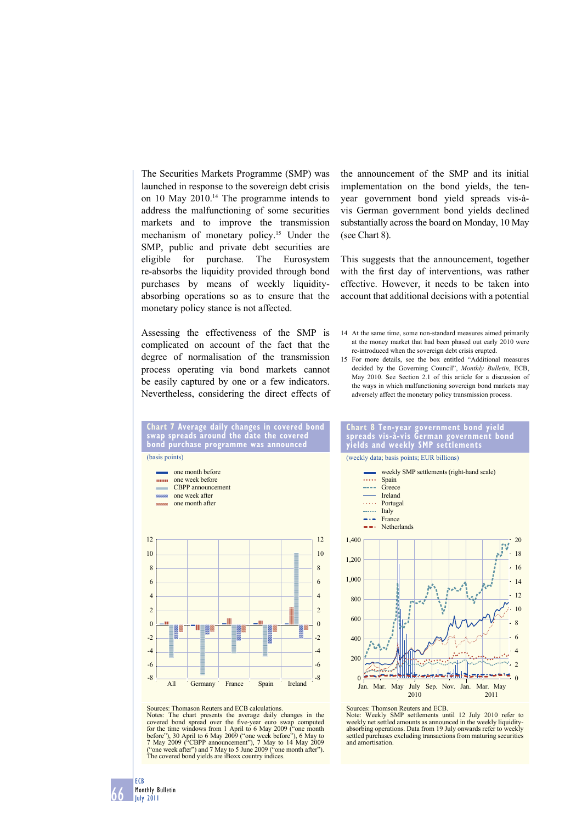The Securities Markets Programme (SMP) was launched in response to the sovereign debt crisis on 10 May 2010.14 The programme intends to address the malfunctioning of some securities markets and to improve the transmission mechanism of monetary policy.15 Under the SMP, public and private debt securities are eligible for purchase. The Eurosystem re-absorbs the liquidity provided through bond purchases by means of weekly liquidityabsorbing operations so as to ensure that the monetary policy stance is not affected.

Assessing the effectiveness of the SMP is complicated on account of the fact that the degree of normalisation of the transmission process operating via bond markets cannot be easily captured by one or a few indicators. Nevertheless, considering the direct effects of the announcement of the SMP and its initial implementation on the bond yields, the tenyear government bond yield spreads vis-àvis German government bond yields declined substantially across the board on Monday, 10 May (see Chart 8).

This suggests that the announcement, together with the first day of interventions, was rather effective. However, it needs to be taken into account that additional decisions with a potential

- 14 At the same time, some non-standard measures aimed primarily at the money market that had been phased out early 2010 were re-introduced when the sovereign debt crisis erupted.
- 15 For more details, see the box entitled "Additional measures decided by the Governing Council", *Monthly Bulletin*, ECB, May 2010. See Section 2.1 of this article for a discussion of the ways in which malfunctioning sovereign bond markets may adversely affect the monetary policy transmission process.



Sources: Thomason Reuters and ECB calculations.

Notes: The chart presents the average daily changes in the covered bond spread over the five-year euro swap computed<br>for the time windows from 1 April to 6 May 2009 ("one month<br>before"), 30 April to 6 May 2009 ("one week before"), 6 May to 7 May 2009 ("CBPP announcement"), 7 May to 14 May 2009 ("one week after") and 7 May to 5 June 2009 ("one month after"). The covered bond yields are iBoxx country indices.





Sources: Thomson Reuters and ECB.

Note: Weekly SMP settlements until 12 July 2010 refer to weekly net settled amounts as announced in the weekly liquidityabsorbing operations. Data from 19 July onwards refer to weekly settled purchases excluding transactions from maturing securities and amortisation.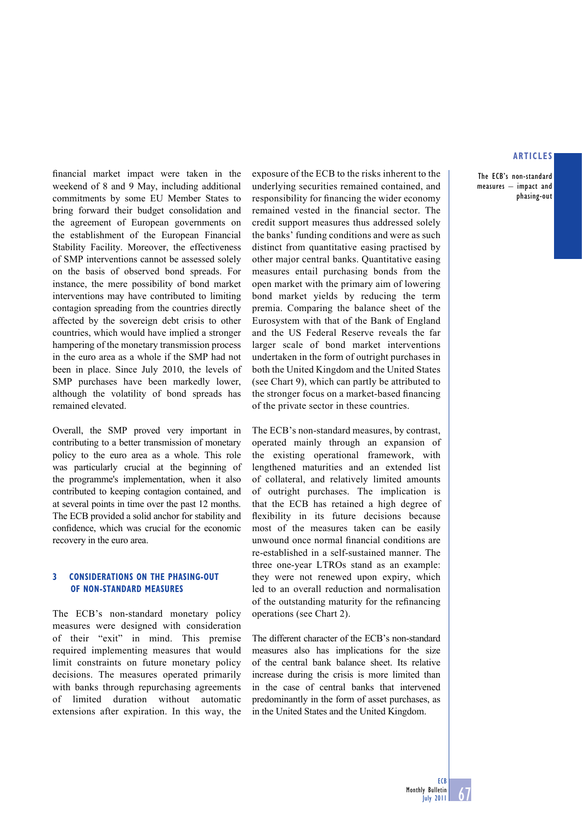The ECB's non-standard measures – impact and phasing-out

financial market impact were taken in the weekend of 8 and 9 May, including additional commitments by some EU Member States to bring forward their budget consolidation and the agreement of European governments on the establishment of the European Financial Stability Facility. Moreover, the effectiveness of SMP interventions cannot be assessed solely on the basis of observed bond spreads. For instance, the mere possibility of bond market interventions may have contributed to limiting contagion spreading from the countries directly affected by the sovereign debt crisis to other countries, which would have implied a stronger hampering of the monetary transmission process in the euro area as a whole if the SMP had not been in place. Since July 2010, the levels of SMP purchases have been markedly lower, although the volatility of bond spreads has remained elevated.

Overall, the SMP proved very important in contributing to a better transmission of monetary policy to the euro area as a whole. This role was particularly crucial at the beginning of the programme's implementation, when it also contributed to keeping contagion contained, and at several points in time over the past 12 months. The ECB provided a solid anchor for stability and confidence, which was crucial for the economic recovery in the euro area.

# **3 CONSIDERATIONS ON THE PHASING-OUT OF NON-STANDARD MEASURES**

The ECB's non-standard monetary policy measures were designed with consideration of their "exit" in mind. This premise required implementing measures that would limit constraints on future monetary policy decisions. The measures operated primarily with banks through repurchasing agreements of limited duration without automatic extensions after expiration. In this way, the exposure of the ECB to the risks inherent to the underlying securities remained contained, and responsibility for financing the wider economy remained vested in the financial sector. The credit support measures thus addressed solely the banks' funding conditions and were as such distinct from quantitative easing practised by other major central banks. Quantitative easing measures entail purchasing bonds from the open market with the primary aim of lowering bond market yields by reducing the term premia. Comparing the balance sheet of the Eurosystem with that of the Bank of England and the US Federal Reserve reveals the far larger scale of bond market interventions undertaken in the form of outright purchases in both the United Kingdom and the United States (see Chart 9), which can partly be attributed to the stronger focus on a market-based financing of the private sector in these countries.

The ECB's non-standard measures, by contrast, operated mainly through an expansion of the existing operational framework, with lengthened maturities and an extended list of collateral, and relatively limited amounts of outright purchases. The implication is that the ECB has retained a high degree of flexibility in its future decisions because most of the measures taken can be easily unwound once normal financial conditions are re-established in a self-sustained manner. The three one-year LTROs stand as an example: they were not renewed upon expiry, which led to an overall reduction and normalisation of the outstanding maturity for the refinancing operations (see Chart 2).

The different character of the ECB's non-standard measures also has implications for the size of the central bank balance sheet. Its relative increase during the crisis is more limited than in the case of central banks that intervened predominantly in the form of asset purchases, as in the United States and the United Kingdom.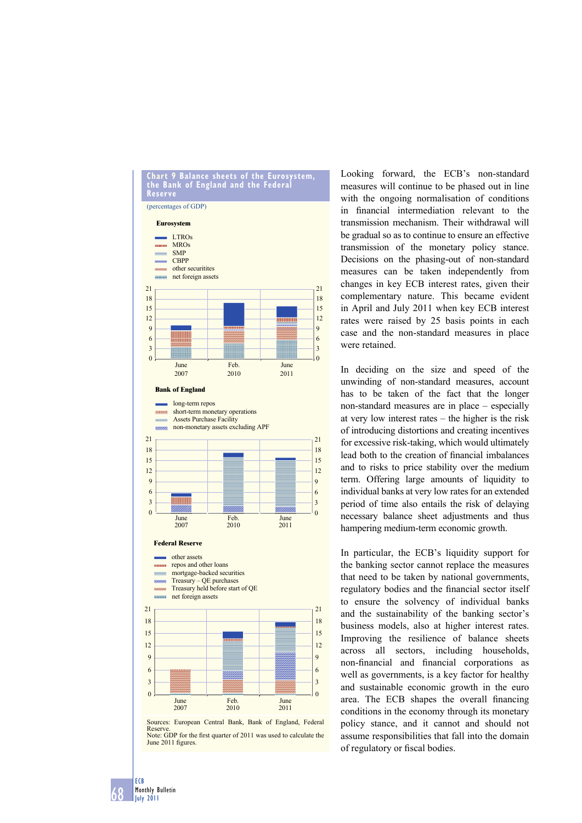

June 2011 figures

68

ECB Monthly Bulletin July 2011

Looking forward, the ECB's non-standard measures will continue to be phased out in line with the ongoing normalisation of conditions in financial intermediation relevant to the transmission mechanism. Their withdrawal will be gradual so as to continue to ensure an effective transmission of the monetary policy stance. Decisions on the phasing-out of non-standard measures can be taken independently from changes in key ECB interest rates, given their complementary nature. This became evident in April and July 2011 when key ECB interest rates were raised by 25 basis points in each case and the non-standard measures in place were retained.

In deciding on the size and speed of the unwinding of non-standard measures, account has to be taken of the fact that the longer non-standard measures are in place – especially at very low interest rates – the higher is the risk of introducing distortions and creating incentives for excessive risk-taking, which would ultimately lead both to the creation of financial imbalances and to risks to price stability over the medium term. Offering large amounts of liquidity to individual banks at very low rates for an extended period of time also entails the risk of delaying necessary balance sheet adjustments and thus hampering medium-term economic growth.

In particular, the ECB's liquidity support for the banking sector cannot replace the measures that need to be taken by national governments, regulatory bodies and the financial sector itself to ensure the solvency of individual banks and the sustainability of the banking sector's business models, also at higher interest rates. Improving the resilience of balance sheets across all sectors, including households, non-financial and financial corporations as well as governments, is a key factor for healthy and sustainable economic growth in the euro area. The ECB shapes the overall financing conditions in the economy through its monetary policy stance, and it cannot and should not assume responsibilities that fall into the domain of regulatory or fiscal bodies.